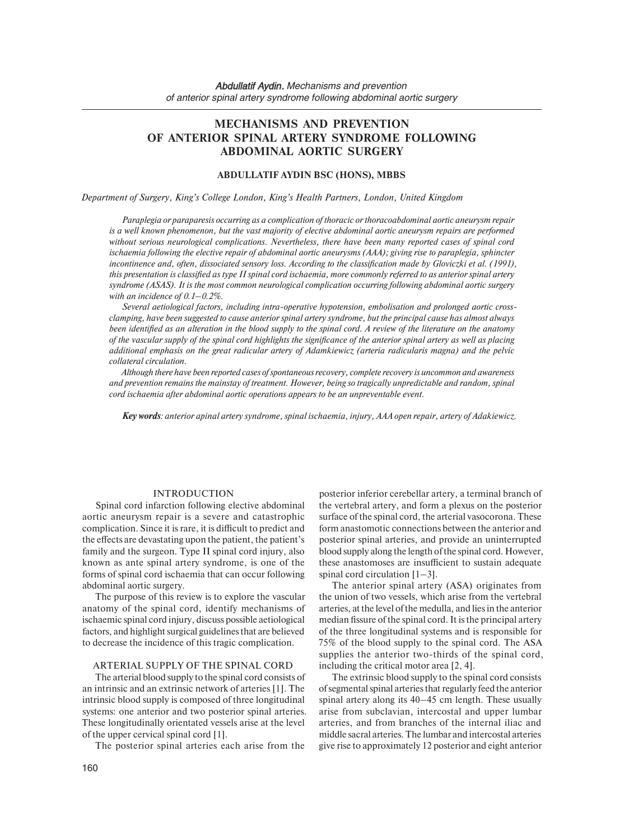# **MECHANISMS AND PREVENTION OF ANTERIOR SPINAL ARTERY SYNDROME FOLLOWING ABDOMINAL AORTIC SURGERY**

#### **ABDULLATIF AYDIN BSC (HONS), MBBS**

*Department of Surgery, King's College London, King's Health Partners, London, United Kingdom*

*Paraplegia or paraparesis occurring as a complication of thoracic or thoracoabdominal aortic aneurysm repair is a well known phenomenon, but the vast majority of elective abdominal aortic aneurysm repairs are performed without serious neurological complications. Nevertheless, there have been many reported cases of spinal cord ischaemia following the elective repair of abdominal aortic aneurysms (AAA); giving rise to paraplegia, sphincter incontinence and, often, dissociated sensory loss. According to the classification made by Gloviczki et al. (1991), this presentation is classified as type II spinal cord ischaemia, more commonly referred to as anterior spinal artery syndrome (ASAS). It is the most common neurological complication occurring following abdominal aortic surgery with an incidence of 0.1–0.2%.* 

Several aetiological factors, including intra-operative hypotension, embolisation and prolonged aortic cross*clamping, have been suggested to cause anterior spinal artery syndrome, but the principal cause has almost always been identified as an alteration in the blood supply to the spinal cord. A review of the literature on the anatomy of the vascular supply of the spinal cord highlights the significance of the anterior spinal artery as well as placing additional emphasis on the great radicular artery of Adamkiewicz (arteria radicularis magna) and the pelvic collateral circulation.* 

*Although there have been reported cases of spontaneous recovery, complete recovery is uncommon and awareness and prevention remains the mainstay of treatment. However, being so tragically unpredictable and random, spinal cord ischaemia after abdominal aortic operations appears to be an unpreventable event.* 

*Key words: anterior apinal artery syndrome, spinal ischaemia, injury, AAA open repair, artery of Adakiewicz.* 

#### INTRODUCTION

Spinal cord infarction following elective abdominal aortic aneurysm repair is a severe and catastrophic complication. Since it is rare, it is difficult to predict and the effects are devastating upon the patient, the patient's family and the surgeon. Type II spinal cord injury, also known as ante spinal artery syndrome, is one of the forms of spinal cord ischaemia that can occur following abdominal aortic surgery.

 anatomy of the spinal cord, identify mechanisms of ischaemic spinal cord injury, discuss possible aetiological The purpose of this review is to explore the vascular factors, and highlight surgical guidelines that are believed to decrease the incidence of this tragic complication.

### ARTERIAL SUPPLY OF THE SPINAL CORD

The arterial blood supply to the spinal cord consists of an intrinsic and an extrinsic network of arteries [1]. The intrinsic blood supply is composed of three longitudinal systems: one anterior and two posterior spinal arteries. These longitudinally orientated vessels arise at the level of the upper cervical spinal cord [1].

The posterior spinal arteries each arise from the

posterior inferior cerebellar artery, a terminal branch of the vertebral artery, and form a plexus on the posterior surface of the spinal cord, the arterial vasocorona. These form anastomotic connections between the anterior and posterior spinal arteries, and provide an uninterrupted blood supply along the length of the spinal cord. However, these anastomoses are insufficient to sustain adequate spinal cord circulation [1–3].

The anterior spinal artery (ASA) originates from the union of two vessels, which arise from the vertebral arteries, at the level of the medulla, and lies in the anterior median fissure of the spinal cord. It is the principal artery of the three longitudinal systems and is responsible for 75% of the blood supply to the spinal cord. The ASA supplies the anterior two-thirds of the spinal cord, including the critical motor area [2, 4].

The extrinsic blood supply to the spinal cord consists of segmental spinal arteries that regularly feed the anterior spinal artery along its 40–45 cm length. These usually arise from subclavian, intercostal and upper lumbar arteries, and from branches of the internal iliac and middle sacral arteries. The lumbar and intercostal arteries give rise to approximately 12 posterior and eight anterior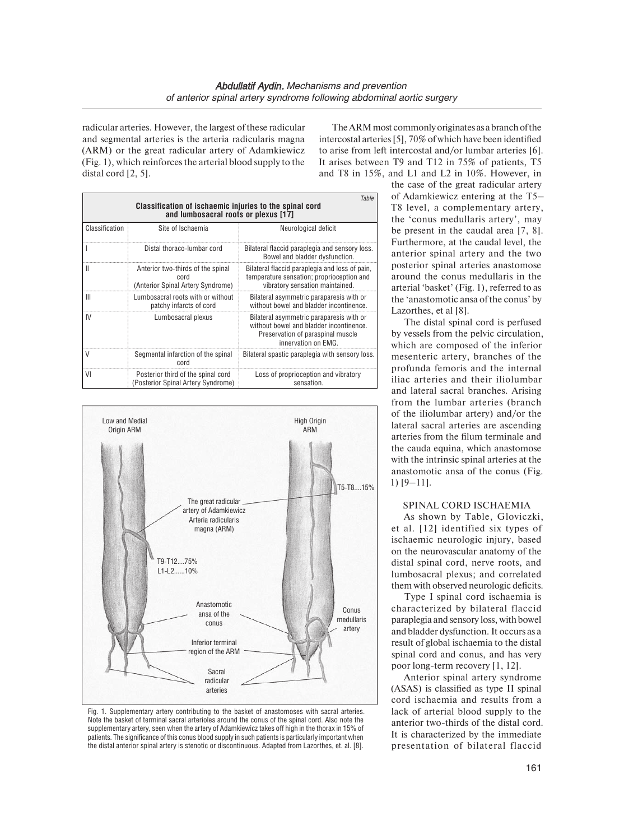radicular arteries. However, the largest of these radicular and segmental arteries is the arteria radicularis magna (ARM) or the great radicular artery of Adamkiewicz (Fig. 1), which reinforces the arterial blood supply to the distal cord [2, 5].

The ARM most commonly originates as a branch of the intercostal arteries [5], 70% of which have been identified to arise from left intercostal and/or lumbar arteries [6]. It arises between T9 and T12 in 75% of patients, T5 and T8 in 15%, and L1 and L2 in 10%. However, in

| Table<br>Classification of ischaemic injuries to the spinal cord<br>and lumbosacral roots or plexus [17] |                                                                                |                                                                                                                                                 |
|----------------------------------------------------------------------------------------------------------|--------------------------------------------------------------------------------|-------------------------------------------------------------------------------------------------------------------------------------------------|
| Classification                                                                                           | Site of Ischaemia                                                              | Neurological deficit                                                                                                                            |
|                                                                                                          | Distal thoraco-lumbar cord                                                     | Bilateral flaccid paraplegia and sensory loss.<br>Bowel and bladder dysfunction.                                                                |
| Ш                                                                                                        | Anterior two-thirds of the spinal<br>cord<br>(Anterior Spinal Artery Syndrome) | Bilateral flaccid paraplegia and loss of pain,<br>temperature sensation; proprioception and<br>vibratory sensation maintained.                  |
| Ш                                                                                                        | Lumbosacral roots with or without<br>patchy infarcts of cord                   | Bilateral asymmetric paraparesis with or<br>without bowel and bladder incontinence.                                                             |
| IV                                                                                                       | Lumbosacral plexus                                                             | Bilateral asymmetric paraparesis with or<br>without bowel and bladder incontinence.<br>Preservation of paraspinal muscle<br>innervation on EMG. |
| V                                                                                                        | Segmental infarction of the spinal<br>cord                                     | Bilateral spastic paraplegia with sensory loss.                                                                                                 |
| VI                                                                                                       | Posterior third of the spinal cord<br>(Posterior Spinal Artery Syndrome)       | Loss of proprioception and vibratory<br>sensation.                                                                                              |



Fig. 1. Supplementary artery contributing to the basket of anastomoses with sacral arteries. Note the basket of terminal sacral arterioles around the conus of the spinal cord. Also note the supplementary artery, seen when the artery of Adamkiewicz takes off high in the thorax in 15% of patients. The significance of this conus blood supply in such patients is particularly important when the distal anterior spinal artery is stenotic or discontinuous. Adapted from Lazorthes, et. al. [8]. presentation of bilateral flaccid

 posterior spinal arteries anastomose the case of the great radicular artery of Adamkiewicz entering at the T5– T8 level, a complementary artery, the 'conus medullaris artery', may be present in the caudal area [7, 8]. Furthermore, at the caudal level, the anterior spinal artery and the two around the conus medullaris in the arterial 'basket' (Fig. 1), referred to as the 'anastomotic ansa of the conus' by Lazorthes, et al [8].

mesenteric artery, branches of the anastomotic ansa of the conus (Fig. 1) [9–11]. The distal spinal cord is perfused by vessels from the pelvic circulation, which are composed of the inferior profunda femoris and the internal iliac arteries and their iliolumbar and lateral sacral branches. Arising from the lumbar arteries (branch of the iliolumbar artery) and/or the lateral sacral arteries are ascending arteries from the filum terminale and the cauda equina, which anastomose with the intrinsic spinal arteries at the

# SPINAL CORD ISCHAEMIA

 them with observed neurologic deficits. As shown by Table, Gloviczki, et al. [12] identified six types of ischaemic neurologic injury, based on the neurovascular anatomy of the distal spinal cord, nerve roots, and lumbosacral plexus; and correlated

Type I spinal cord ischaemia is characterized by bilateral flaccid paraplegia and sensory loss, with bowel and bladder dysfunction. It occurs as a result of global ischaemia to the distal spinal cord and conus, and has very poor long-term recovery  $[1, 12]$ .

 It is characterized by the immediate Anterior spinal artery syndrome (ASAS) is classified as type II spinal cord ischaemia and results from a lack of arterial blood supply to the anterior two-thirds of the distal cord.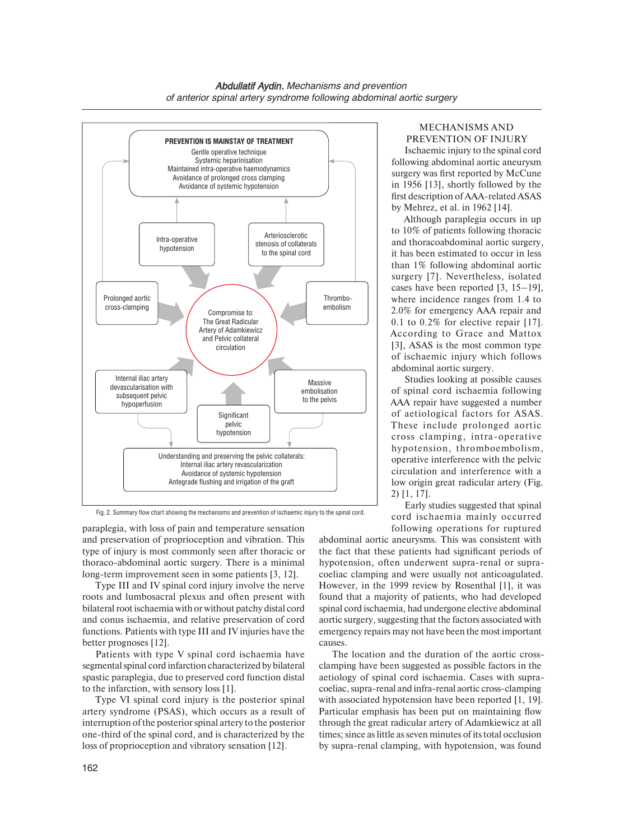

Early studies suggested that spinal Fig. 2. Summary flow chart showing the mechanisms and prevention of ischaemic injury to the spinal cord.

thoraco-abdominal aortic surgery. There is a minimal paraplegia, with loss of pain and temperature sensation and preservation of proprioception and vibration. This type of injury is most commonly seen after thoracic or long-term improvement seen in some patients [3, 12].

Type III and IV spinal cord injury involve the nerve roots and lumbosacral plexus and often present with bilateral root ischaemia with or without patchy distal cord and conus ischaemia, and relative preservation of cord functions. Patients with type III and IV injuries have the better prognoses [12].

Patients with type V spinal cord ischaemia have segmental spinal cord infarction characterized by bilateral spastic paraplegia, due to preserved cord function distal to the infarction, with sensory loss [1].

Type VI spinal cord injury is the posterior spinal artery syndrome (PSAS), which occurs as a result of interruption of the posterior spinal artery to the posterior one-third of the spinal cord, and is characterized by the loss of proprioception and vibratory sensation [12].

# MECHANISMS AND PREVENTION OF INJURY

Ischaemic injury to the spinal cord following abdominal aortic aneurysm surgery was first reported by McCune in 1956 [13], shortly followed by the first description of AAA-related ASAS by Mehrez, et al. in 1962 [14].

Although paraplegia occurs in up to 10% of patients following thoracic and thoracoabdominal aortic surgery, it has been estimated to occur in less than 1% following abdominal aortic surgery [7]. Nevertheless, isolated cases have been reported [3, 15–19], where incidence ranges from 1.4 to 2.0% for emergency AAA repair and 0.1 to  $0.2\%$  for elective repair [17]. According to Grace and Mattox [3], ASAS is the most common type of ischaemic injury which follows abdominal aortic surgery.

Studies looking at possible causes of spinal cord ischaemia following AAA repair have suggested a number of aetiological factors for ASAS. These include prolonged aortic cross clamping, intra-operative hypotension, thromboembolism, operative interference with the pelvic circulation and interference with a low origin great radicular artery (Fig. 2) [1, 17].

cord ischaemia mainly occurred following operations for ruptured

 coeliac clamping and were usually not anticoagulated. However, in the 1999 review by Rosenthal [1], it was spinal cord ischaemia, had undergone elective abdominal a a sociated with a strategies and the factors associated with a strategies and the factors associated with a strategies of the strategies and the strategies and the strategies and the strategies and the strategies and the abdominal aortic aneurysms. This was consistent with the fact that these patients had significant periods of hypotension, often underwent supra-renal or suprafound that a majority of patients, who had developed emergency repairs may not have been the most important causes.

The location and the duration of the aortic crossclamping have been suggested as possible factors in the aetiology of spinal cord ischaemia. Cases with supracoeliac, supra-renal and infra-renal aortic cross-clamping with associated hypotension have been reported [1, 19]. Particular emphasis has been put on maintaining flow through the great radicular artery of Adamkiewicz at all times; since as little as seven minutes of its total occlusion by supra-renal clamping, with hypotension, was found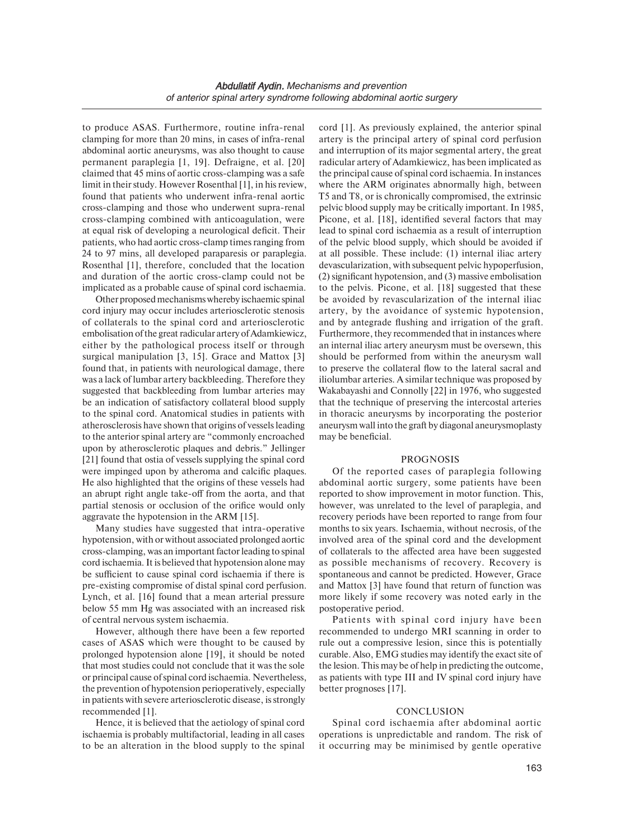to produce ASAS. Furthermore, routine infra-renal clamping for more than 20 mins, in cases of infra-renal abdominal aortic aneurysms, was also thought to cause permanent paraplegia [1, 19]. Defraigne, et al. [20] claimed that 45 mins of aortic cross-clamping was a safe limit in their study. However Rosenthal [1], in his review, found that patients who underwent infra-renal aortic cross-clamping and those who underwent supra-renal cross-clamping combined with anticoagulation, were at equal risk of developing a neurological deficit. Their patients, who had aortic cross-clamp times ranging from 24 to 97 mins, all developed paraparesis or paraplegia. Rosenthal [1], therefore, concluded that the location and duration of the aortic cross-clamp could not be implicated as a probable cause of spinal cord ischaemia.

 of collaterals to the spinal cord and arteriosclerotic Other proposed mechanisms whereby ischaemic spinal cord injury may occur includes arteriosclerotic stenosis embolisation of the great radicular artery of Adamkiewicz, either by the pathological process itself or through surgical manipulation [3, 15]. Grace and Mattox [3] found that, in patients with neurological damage, there was a lack of lumbar artery backbleeding. Therefore they suggested that backbleeding from lumbar arteries may be an indication of satisfactory collateral blood supply to the spinal cord. Anatomical studies in patients with atherosclerosis have shown that origins of vessels leading to the anterior spinal artery are "commonly encroached upon by atherosclerotic plaques and debris." Jellinger [21] found that ostia of vessels supplying the spinal cord were impinged upon by atheroma and calcific plaques. He also highlighted that the origins of these vessels had an abrupt right angle take-off from the aorta, and that partial stenosis or occlusion of the orifice would only aggravate the hypotension in the ARM [15].

Many studies have suggested that intra-operative hypotension, with or without associated prolonged aortic cross-clamping, was an important factor leading to spinal cord ischaemia. It is believed that hypotension alone may be sufficient to cause spinal cord ischaemia if there is pre-existing compromise of distal spinal cord perfusion. Lynch, et al. [16] found that a mean arterial pressure below 55 mm Hg was associated with an increased risk of central nervous system ischaemia.

 or principal cause of spinal cord ischaemia. Nevertheless, However, although there have been a few reported cases of ASAS which were thought to be caused by prolonged hypotension alone [19], it should be noted that most studies could not conclude that it was the sole the prevention of hypotension perioperatively, especially in patients with severe arteriosclerotic disease, is strongly recommended [1].

Hence, it is believed that the aetiology of spinal cord ischaemia is probably multifactorial, leading in all cases to be an alteration in the blood supply to the spinal

the principal cause of spinal cord ischaemia. In instances at all possible. These include: (1) internal iliac artery should be performed from within the aneurysm wall cord [1]. As previously explained, the anterior spinal artery is the principal artery of spinal cord perfusion and interruption of its major segmental artery, the great radicular artery of Adamkiewicz, has been implicated as where the ARM originates abnormally high, between T5 and T8, or is chronically compromised, the extrinsic pelvic blood supply may be critically important. In 1985, Picone, et al. [18], identified several factors that may lead to spinal cord ischaemia as a result of interruption of the pelvic blood supply, which should be avoided if devascularization, with subsequent pelvic hypoperfusion, (2) significant hypotension, and (3) massive embolisation to the pelvis. Picone, et al. [18] suggested that these be avoided by revascularization of the internal iliac artery, by the avoidance of systemic hypotension, and by antegrade flushing and irrigation of the graft. Furthermore, they recommended that in instances where an internal iliac artery aneurysm must be oversewn, this to preserve the collateral flow to the lateral sacral and iliolumbar arteries. A similar technique was proposed by Wakabayashi and Connolly [22] in 1976, who suggested that the technique of preserving the intercostal arteries in thoracic aneurysms by incorporating the posterior aneurysm wall into the graft by diagonal aneurysmoplasty may be beneficial.

#### PROGNOSIS

Of the reported cases of paraplegia following abdominal aortic surgery, some patients have been reported to show improvement in motor function. This, however, was unrelated to the level of paraplegia, and recovery periods have been reported to range from four months to six years. Ischaemia, without necrosis, of the involved area of the spinal cord and the development of collaterals to the affected area have been suggested as possible mechanisms of recovery. Recovery is spontaneous and cannot be predicted. However, Grace and Mattox [3] have found that return of function was more likely if some recovery was noted early in the postoperative period.

Patients with spinal cord injury have been recommended to undergo MRI scanning in order to rule out a compressive lesion, since this is potentially curable. Also, EMG studies may identify the exact site of the lesion. This may be of help in predicting the outcome, as patients with type III and IV spinal cord injury have better prognoses [17].

# **CONCLUSION**

 Spinal cord ischaemia after abdominal aortic operations is unpredictable and random. The risk of it occurring may be minimised by gentle operative